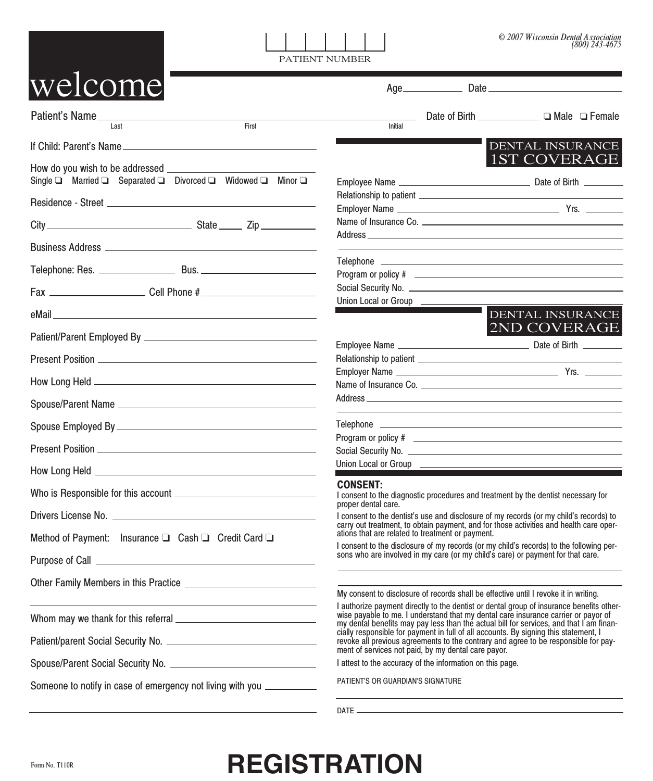| © 2007 Wisconsin Dental Association |                  |
|-------------------------------------|------------------|
|                                     | $(800)$ 243-4675 |

PATIENT NUMBER

| welcome                                                                                                               |                                                                                                                                                                                                                                                                   |  |  |
|-----------------------------------------------------------------------------------------------------------------------|-------------------------------------------------------------------------------------------------------------------------------------------------------------------------------------------------------------------------------------------------------------------|--|--|
| Patient's Name<br>Last<br>First                                                                                       | Initial                                                                                                                                                                                                                                                           |  |  |
| If Child: Parent's Name                                                                                               | DENTAL INSURANCE                                                                                                                                                                                                                                                  |  |  |
| Single □ Married □ Separated □ Divorced □ Widowed □ Minor □                                                           | 1ST COVERAGE                                                                                                                                                                                                                                                      |  |  |
|                                                                                                                       |                                                                                                                                                                                                                                                                   |  |  |
|                                                                                                                       |                                                                                                                                                                                                                                                                   |  |  |
| Fax _____________________________Cell Phone #___________________________________                                      |                                                                                                                                                                                                                                                                   |  |  |
|                                                                                                                       | Union Local or Group<br><u> 1989 - Johann Barnett, mars et al. 19</u>                                                                                                                                                                                             |  |  |
|                                                                                                                       | DENTAL INSURANCE<br>2ND COVERAGE                                                                                                                                                                                                                                  |  |  |
|                                                                                                                       |                                                                                                                                                                                                                                                                   |  |  |
| Present Position <b>contact and the Contract of Contract Present Position</b>                                         |                                                                                                                                                                                                                                                                   |  |  |
|                                                                                                                       | Name of Insurance Co.                                                                                                                                                                                                                                             |  |  |
|                                                                                                                       |                                                                                                                                                                                                                                                                   |  |  |
|                                                                                                                       | <u> 1989 - Johann Stein, mars an deus an deus Amerikaanse komme en de Fryske komme</u>                                                                                                                                                                            |  |  |
|                                                                                                                       | Program or policy # 2009 CONSERVATION CONSERVATION CONSERVATION CONSERVATION CONSERVATION CONSERVATION CONSERVATION                                                                                                                                               |  |  |
|                                                                                                                       | Union Local or Group                                                                                                                                                                                                                                              |  |  |
|                                                                                                                       | <b>CONSENT:</b><br>I consent to the diagnostic procedures and treatment by the dentist necessary for<br>proper dental care.                                                                                                                                       |  |  |
|                                                                                                                       | I consent to the dentist's use and disclosure of my records (or my child's records) to<br>carry out treatment, to obtain payment, and for those activities and health care oper-                                                                                  |  |  |
| Method of Payment: Insurance □ Cash □ Credit Card □                                                                   | ations that are related to treatment or payment.<br>I consent to the disclosure of my records (or my child's records) to the following per-                                                                                                                       |  |  |
|                                                                                                                       | sons who are involved in my care (or my child's care) or payment for that care.                                                                                                                                                                                   |  |  |
|                                                                                                                       |                                                                                                                                                                                                                                                                   |  |  |
| <u> 1989 - Johann Barn, mars ann an t-Amhain an t-Amhain an t-Amhain an t-Amhain an t-Amhain an t-Amhain an t-Amh</u> | My consent to disclosure of records shall be effective until I revoke it in writing.<br>I authorize payment directly to the dentist or dental group of insurance benefits otherwise payable to me. I understand that my dental care insurance carrier or payor of |  |  |
|                                                                                                                       | my dental benefits may pay less than the actual bill for services, and that I am finan-                                                                                                                                                                           |  |  |
|                                                                                                                       | cially responsible for payment in full of all accounts. By signing this statement, I<br>revoke all previous agreements to the contrary and agree to be responsible for pay-<br>ment of services not paid, by my dental care payor.                                |  |  |
|                                                                                                                       | I attest to the accuracy of the information on this page.                                                                                                                                                                                                         |  |  |
| Someone to notify in case of emergency not living with you ____________                                               | PATIENT'S OR GUARDIAN'S SIGNATURE                                                                                                                                                                                                                                 |  |  |
|                                                                                                                       |                                                                                                                                                                                                                                                                   |  |  |

## Form No. T110R **REGISTRATION**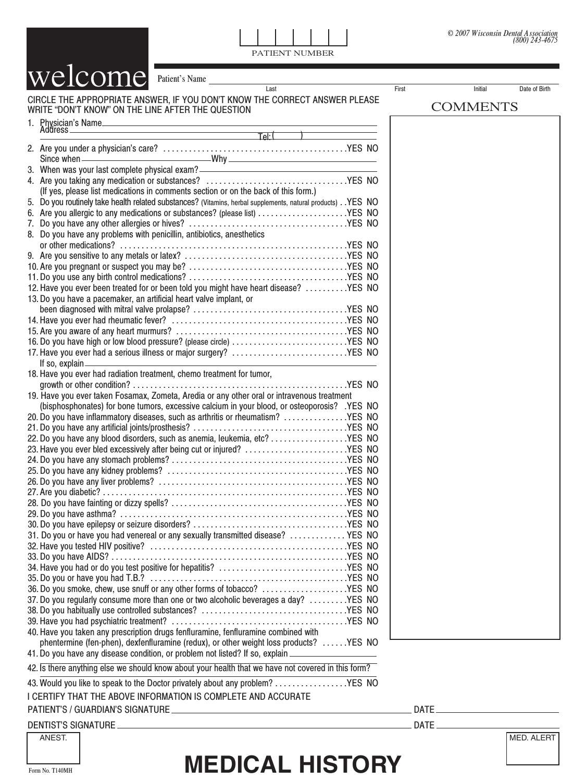PATIENT NUMBER

CIRCLE THE APPROPRIATE ANSWER, IF YOU DON'T KNOW THE CORRECT ANSWER PLEASE WRITE "DON'T KNOW" ON THE LINE AFTER THE QUESTION 1. Physician's Name<br>Address Address Tel: (1999)<br>Address Tel: (1999) 2. Are you under a physician's care? . . . . . . . . . . . . . . . . . . . . . . . . . . . . . . . . . . . . . . . . . . .YES NO Since when  $\frac{1}{2}$  Why  $\frac{1}{2}$ 3. When was your last complete physical exam? 4. Are you taking any medication or substances? . . . . . . . . . . . . . . . . . . . . . . . . . . . . . . . . .YES NO (If yes, please list medications in comments section or on the back of this form.) 5. Do you routinely take health related substances? (Vitamins, herbal supplements, natural products) . .YES NO 6. Are you allergic to any medications or substances? (please list) . . . . . . . . . . . . . . . . . . . . .YES NO 7. Do you have any other allergies or hives? . . . . . . . . . . . . . . . . . . . . . . . . . . . . . . . . . . . . .YES NO 8. Do you have any problems with penicillin, antibiotics, anesthetics or other medications? . . . . . . . . . . . . . . . . . . . . . . . . . . . . . . . . . . . . . . . . . . . . . . . . . . . . .YES NO 9. Are you sensitive to any metals or latex? . . . . . . . . . . . . . . . . . . . . . . . . . . . . . . . . . . . . . .YES NO 10. Are you pregnant or suspect you may be? . . . . . . . . . . . . . . . . . . . . . . . . . . . . . . . . . . . . .YES NO 11. Do you use any birth control medications? . . . . . . . . . . . . . . . . . . . . . . . . . . . . . . . . . . . . .YES NO 12. Have you ever been treated for or been told you might have heart disease? . . . . . . . . . .YES NO 13.Do you have a pacemaker, an artificial heart valve implant, or been diagnosed with mitral valve prolapse? . . . . . . . . . . . . . . . . . . . . . . . . . . . . . . . . . . . .YES NO 14. Have you ever had rheumatic fever? . . . . . . . . . . . . . . . . . . . . . . . . . . . . . . . . . . . . . . . . .YES NO 15. Are you aware of any heart murmurs? . . . . . . . . . . . . . . . . . . . . . . . . . . . . . . . . . . . . . . . .YES NO 16. Do you have high or low blood pressure? (please circle) . . . . . . . . . . . . . . . . . . . . . . . . . . .YES NO 17. Have you ever had a serious illness or major surgery? . . . . . . . . . . . . . . . . . . . . . . . . . . .YES NO If so, explain 18. Have you ever had radiation treatment, chemo treatment for tumor, growth or other condition? . . . . . . . . . . . . . . . . . . . . . . . . . . . . . . . . . . . . . . . . . . . . . . . . . .YES NO 19. Have you ever taken Fosamax, Zometa, Aredia or any other oral or intravenous treatment (bisphosphonates) for bone tumors, excessive calcium in your blood, or osteoporosis? .YES NO 20. Do you have inflammatory diseases, such as arthritis or rheumatism? . . . . . . . . . . . . . . .YES NO 21. Do you have any artificial joints/prosthesis? . . . . . . . . . . . . . . . . . . . . . . . . . . . . . . . . . . . .YES NO 22. Do you have any blood disorders, such as anemia, leukemia, etc? . . . . . . . . . . . . . . . . . .YES NO 23. Have you ever bled excessively after being cut or injured? .........................YES NO 24. Do you have any stomach problems? . . . . . . . . . . . . . . . . . . . . . . . . . . . . . . . . . . . . . . . . .YES NO 25. Do you have any kidney problems? . . . . . . . . . . . . . . . . . . . . . . . . . . . . . . . . . . . . . . . . . .YES NO 26. Do you have any liver problems? . . . . . . . . . . . . . . . . . . . . . . . . . . . . . . . . . . . . . . . . . . . .YES NO 27. Are you diabetic? . . . . . . . . . . . . . . . . . . . . . . . . . . . . . . . . . . . . . . . . . . . . . . . . . . . . . . . . .YES NO 28. Do you have fainting or dizzy spells? . . . . . . . . . . . . . . . . . . . . . . . . . . . . . . . . . . . . . . . . .YES NO 29. Do you have asthma? . . . . . . . . . . . . . . . . . . . . . . . . . . . . . . . . . . . . . . . . . . . . . . . . . . . . .YES NO 30. Do you have epilepsy or seizure disorders? . . . . . . . . . . . . . . . . . . . . . . . . . . . . . . . . . . . .YES NO 31. Do you or have you had venereal or any sexually transmitted disease? . . . . . . . . . . . . . YES NO 32. Have you tested HIV positive? . . . . . . . . . . . . . . . . . . . . . . . . . . . . . . . . . . . . . . . . . . . . . .YES NO 33. Do you have AIDS? . . . . . . . . . . . . . . . . . . . . . . . . . . . . . . . . . . . . . . . . . . . . . . . . . . . . . . .YES NO 34. Have you had or do you test positive for hepatitis? . . . . . . . . . . . . . . . . . . . . . . . . . . . . . .YES NO 35. Do you or have you had T.B.? . . . . . . . . . . . . . . . . . . . . . . . . . . . . . . . . . . . . . . . . . . . . . .YES NO 36. Do you smoke, chew, use snuff or any other forms of tobacco? . . . . . . . . . . . . . . . . . . . .YES NO 37. Do you regularly consume more than one or two alcoholic beverages a day? . . . . . . . . .YES NO 38. Do you habitually use controlled substances? . . . . . . . . . . . . . . . . . . . . . . . . . . . . . . . . . .YES NO 39. Have you had psychiatric treatment? . . . . . . . . . . . . . . . . . . . . . . . . . . . . . . . . . . . . . . . . .YES NO 40. Have you taken any prescription drugs fenfluramine, fenfluramine combined with phentermine (fen-phen), dexfenfluramine (redux), or other weight loss products? . . . . . .YES NO 41. Do you have any disease condition, or problem not listed? If so, explain 42. Is there anything else we should know about your health that we have not covered in this form? 43. Would you like to speak to the Doctor privately about any problem? . . . . . . . . . . . . . . . . .YES NO I CERTIFY THAT THE ABOVE INFORMATION IS COMPLETE AND ACCURATE welcome Patient's Name Last First Initial Date of Birth COMMENTS

## PATIENT'S / GUARDIAN'S SIGNATURE DATE

DENTIST'S SIGNATURE LATE AND THE LATE AND THE LATE AND THE LATE AND THE LATE AND THE LATE AND THE LATE AND THE

## Form No. T140MH **MEDICAL HISTORY**

ANEST. NED. ALERT NED. ALERT NED. ALERT NED. ALERT NED. ALERT NED. ALERT NED. ALERT NED. ALERT NED. ALERT NED.